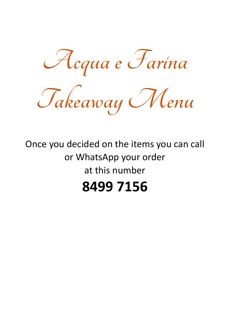**Acqua e Farina**

**Takeaway Menu**

# Once you decided on the items you can call or WhatsApp your order at this number **8499 7156**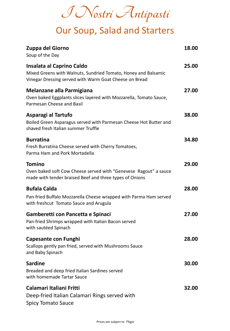**I Nostri Antipasti**

## Our Soup, Salad and Starters

| Zuppa del Giorno<br>Soup of the Day                                                                                                                   | 18.00 |
|-------------------------------------------------------------------------------------------------------------------------------------------------------|-------|
| Insalata al Caprino Caldo<br>Mixed Greens with Walnuts, Sundried Tomato, Honey and Balsamic<br>Vinegar Dressing served with Warm Goat Cheese on Bread | 25.00 |
| <b>Melanzane alla Parmigiana</b><br>Oven baked Eggplants slices layered with Mozzarella, Tomato Sauce,<br>Parmesan Cheese and Basil                   | 27.00 |
| Asparagi al Tartufo<br>Boiled Green Asparagus served with Parmesan Cheese Hot Butter and<br>shaved fresh Italian summer Truffle                       | 38.00 |
| <b>Burratina</b><br>Fresh Burratina Cheese served with Cherry Tomatoes,<br>Parma Ham and Pork Mortadella                                              | 34.80 |
| <b>Tomino</b><br>Oven baked soft Cow Cheese served with "Genevese Ragout" a sauce<br>made with tender braised Beef and three types of Onions          | 29.00 |
| <b>Bufala Calda</b>                                                                                                                                   | 28.00 |
| Pan-fried Buffalo Mozzarella Cheese wrapped with Parma Ham served<br>with freshcut Tomato Sauce and Arugula                                           |       |
| Gamberetti con Pancetta e Spinaci<br>Pan-fried Shrimps wrapped with Italian Bacon served<br>with sautéed Spinach                                      | 27.00 |
| <b>Capesante con Funghi</b><br>Scallops gently pan fried, served with Mushrooms Sauce<br>and Baby Spinach                                             | 28.00 |
| <b>Sardine</b><br>Breaded and deep fried Italian Sardines served<br>with homemade Tartar Sauce                                                        | 30.00 |
| Calamari Italiani Fritti<br>Deep-fried Italian Calamari Rings served with<br><b>Spicy Tomato Sauce</b>                                                | 32.00 |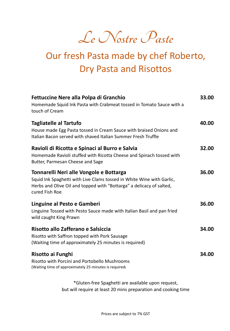**Le Nostre Paste**

## Our fresh Pasta made by chef Roberto, Dry Pasta and Risottos

| Fettuccine Nere alla Polpa di Granchio<br>Homemade Squid Ink Pasta with Crabmeat tossed in Tomato Sauce with a<br>touch of Cream                                                                           | 33.00 |
|------------------------------------------------------------------------------------------------------------------------------------------------------------------------------------------------------------|-------|
| <b>Tagliatelle al Tartufo</b><br>House made Egg Pasta tossed in Cream Sauce with braised Onions and<br>Italian Bacon served with shaved Italian Summer Fresh Truffle                                       | 40.00 |
| Ravioli di Ricotta e Spinaci al Burro e Salvia<br>Homemade Ravioli stuffed with Ricotta Cheese and Spinach tossed with<br>Butter, Parmesan Cheese and Sage                                                 | 32.00 |
| Tonnarelli Neri alle Vongole e Bottarga<br>Squid Ink Spaghetti with Live Clams tossed in White Wine with Garlic,<br>Herbs and Olive Oil and topped with "Bottarga" a delicacy of salted,<br>cured Fish Roe | 36.00 |
| Linguine al Pesto e Gamberi<br>Linguine Tossed with Pesto Sauce made with Italian Basil and pan fried<br>wild caught King Prawn                                                                            | 36.00 |
| Risotto allo Zafferano e Salsiccia<br>Risotto with Saffron topped with Pork Sausage<br>(Waiting time of approximately 25 minutes is required)                                                              | 34.00 |
| Risotto ai Funghi<br>Risotto with Porcini and Portobello Mushrooms<br>(Waiting time of approximately 25 minutes is required)                                                                               | 34.00 |

\*Gluten-free Spaghetti are available upon request, but will require at least 20 mins preparation and cooking time

Prices are subject to 7% GST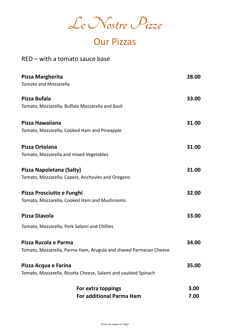**Le Nostre Pizze**

# Our Pizzas

#### RED – with a tomato sauce base

| Pizza Margherita                                                  | 28.00 |
|-------------------------------------------------------------------|-------|
| <b>Tomato and Mozzarella</b>                                      |       |
| Pizza Bufala                                                      | 33.00 |
| Tomato, Mozzarella, Buffalo Mozzarella and Basil                  |       |
| Pizza Hawaiiana                                                   | 31.00 |
| Tomato, Mozzarella, Cooked Ham and Pineapple                      |       |
| Pizza Ortolana                                                    | 31.00 |
| Tomato, Mozzarella and mixed Vegetables                           |       |
| Pizza Napoletana (Salty)                                          | 31.00 |
| Tomato, Mozzarella, Capers, Anchovies and Oregano                 |       |
| Pizza Prosciutto e Funghi                                         | 32.00 |
| Tomato, Mozzarella, Cooked Ham and Mushrooms                      |       |
| Pizza Diavola                                                     | 33.00 |
| Tomato, Mozzarella, Pork Salami and Chillies                      |       |
| Pizza Rucola e Parma                                              | 34.00 |
| Tomato, Mozzarella, Parma Ham, Arugula and shaved Parmesan Cheese |       |
| Pizza Acqua e Farina                                              | 35.00 |
| Tomato, Mozzarella, Ricotta Cheese, Salami and sautéed Spinach    |       |
| For extra toppings                                                | 3.00  |
| <b>For additional Parma Ham</b>                                   | 7.00  |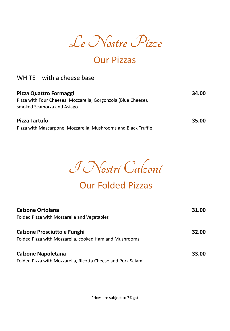

### Our Pizzas

#### WHITE – with a cheese base

| Pizza Quattro Formaggi                                                                       | 34.00 |
|----------------------------------------------------------------------------------------------|-------|
| Pizza with Four Cheeses: Mozzarella, Gorgonzola (Blue Cheese),<br>smoked Scamorza and Asiago |       |
| <b>Pizza Tartufo</b>                                                                         | 35.00 |
| Pizza with Mascarpone, Mozzarella, Mushrooms and Black Truffle                               |       |

**I Nostri Calzoni** 

### Our Folded Pizzas

| <b>Calzone Ortolana</b>                                      | 31.00 |
|--------------------------------------------------------------|-------|
| Folded Pizza with Mozzarella and Vegetables                  |       |
| <b>Calzone Prosciutto e Funghi</b>                           | 32.00 |
| Folded Pizza with Mozzarella, cooked Ham and Mushrooms       |       |
| <b>Calzone Napoletana</b>                                    | 33.00 |
| Folded Pizza with Mozzarella, Ricotta Cheese and Pork Salami |       |

Prices are subject to 7% gst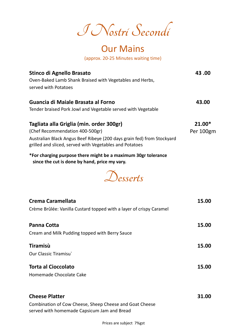**I Nostri Secondi**

#### Our Mains (approx. 20-25 Minutes waiting time)

**Stinco di Agnello Brasato 43 .00** Oven-Baked Lamb Shank Braised with Vegetables and Herbs, served with Potatoes **Guancia di Maiale Brasata al Forno 43.00** Tender braised Pork Jowl and Vegetable served with Vegetable **Tagliata alla Griglia (min. order 300gr) 21.00\*** (Chef Recommendation 400-500gr) example and the example of Per 100gm Australian Black Angus Beef Ribeye (200 days grain fed) from Stockyard grilled and sliced, served with Vegetables and Potatoes **\*For charging purpose there might be a maximum 30gr tolerance** 

**since the cut is done by hand, price my vary.**



| Crema Caramellata                                                                                      | 15.00 |
|--------------------------------------------------------------------------------------------------------|-------|
| Crème Brûlée: Vanilla Custard topped with a layer of crispy Caramel                                    |       |
| <b>Panna Cotta</b>                                                                                     | 15.00 |
| Cream and Milk Pudding topped with Berry Sauce                                                         |       |
| Tiramisù                                                                                               | 15.00 |
| Our Classic Tiramisu                                                                                   |       |
| <b>Torta al Cioccolato</b>                                                                             | 15.00 |
| Homemade Chocolate Cake                                                                                |       |
|                                                                                                        |       |
| <b>Cheese Platter</b>                                                                                  | 31.00 |
| Combination of Cow Cheese, Sheep Cheese and Goat Cheese<br>served with homemade Capsicum Jam and Bread |       |

Prices are subject 7%gst